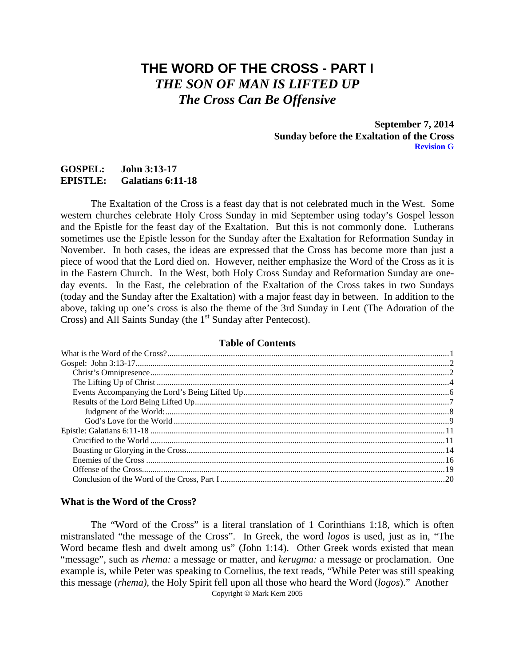# **THE WORD OF THE CROSS - PART I** *THE SON OF MAN IS LIFTED UP The Cross Can Be Offensive*

**September 7, 2014 Sunday before the Exaltation of the Cross Revision G**

# **GOSPEL: John 3:13-17 EPISTLE: Galatians 6:11-18**

The Exaltation of the Cross is a feast day that is not celebrated much in the West. Some western churches celebrate Holy Cross Sunday in mid September using today's Gospel lesson and the Epistle for the feast day of the Exaltation. But this is not commonly done. Lutherans sometimes use the Epistle lesson for the Sunday after the Exaltation for Reformation Sunday in November. In both cases, the ideas are expressed that the Cross has become more than just a piece of wood that the Lord died on. However, neither emphasize the Word of the Cross as it is in the Eastern Church. In the West, both Holy Cross Sunday and Reformation Sunday are oneday events. In the East, the celebration of the Exaltation of the Cross takes in two Sundays (today and the Sunday after the Exaltation) with a major feast day in between. In addition to the above, taking up one's cross is also the theme of the 3rd Sunday in Lent (The Adoration of the Cross) and All Saints Sunday (the 1<sup>st</sup> Sunday after Pentecost).

# **Table of Contents**

#### <span id="page-0-0"></span>**What is the Word of the Cross?**

The "Word of the Cross" is a literal translation of 1 Corinthians 1:18, which is often mistranslated "the message of the Cross". In Greek, the word *logos* is used, just as in, "The Word became flesh and dwelt among us" (John 1:14). Other Greek words existed that mean "message", such as *rhema:* a message or matter, and *kerugma:* a message or proclamation. One example is, while Peter was speaking to Cornelius, the text reads, "While Peter was still speaking this message (*rhema)*, the Holy Spirit fell upon all those who heard the Word (*logos*)." Another Copyright © Mark Kern 2005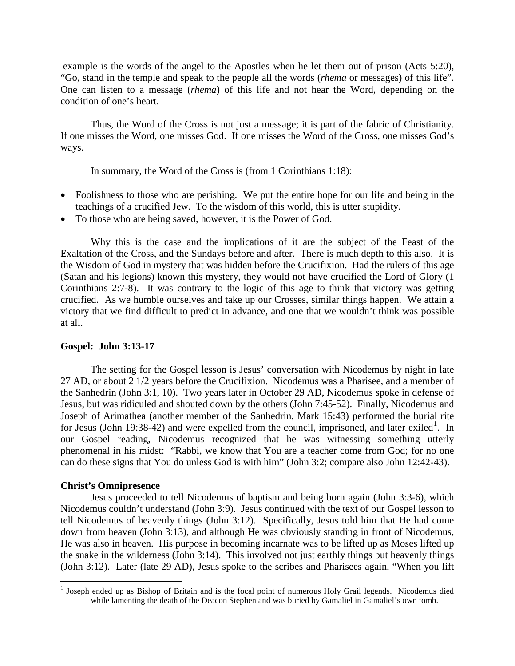example is the words of the angel to the Apostles when he let them out of prison (Acts 5:20), "Go, stand in the temple and speak to the people all the words (*rhema* or messages) of this life". One can listen to a message (*rhema*) of this life and not hear the Word, depending on the condition of one's heart.

Thus, the Word of the Cross is not just a message; it is part of the fabric of Christianity. If one misses the Word, one misses God. If one misses the Word of the Cross, one misses God's ways.

In summary, the Word of the Cross is (from 1 Corinthians 1:18):

- Foolishness to those who are perishing. We put the entire hope for our life and being in the teachings of a crucified Jew. To the wisdom of this world, this is utter stupidity.
- To those who are being saved, however, it is the Power of God.

Why this is the case and the implications of it are the subject of the Feast of the Exaltation of the Cross, and the Sundays before and after. There is much depth to this also. It is the Wisdom of God in mystery that was hidden before the Crucifixion. Had the rulers of this age (Satan and his legions) known this mystery, they would not have crucified the Lord of Glory (1 Corinthians 2:7-8). It was contrary to the logic of this age to think that victory was getting crucified. As we humble ourselves and take up our Crosses, similar things happen. We attain a victory that we find difficult to predict in advance, and one that we wouldn't think was possible at all.

# <span id="page-1-0"></span>**Gospel: John 3:13-17**

The setting for the Gospel lesson is Jesus' conversation with Nicodemus by night in late 27 AD, or about 2 1/2 years before the Crucifixion. Nicodemus was a Pharisee, and a member of the Sanhedrin (John 3:1, 10). Two years later in October 29 AD, Nicodemus spoke in defense of Jesus, but was ridiculed and shouted down by the others (John 7:45-52). Finally, Nicodemus and Joseph of Arimathea (another member of the Sanhedrin, Mark 15:43) performed the burial rite for Jesus (John [1](#page-1-2)9:38-42) and were expelled from the council, imprisoned, and later exiled<sup>1</sup>. In our Gospel reading, Nicodemus recognized that he was witnessing something utterly phenomenal in his midst: "Rabbi, we know that You are a teacher come from God; for no one can do these signs that You do unless God is with him" (John 3:2; compare also John 12:42-43).

# <span id="page-1-1"></span>**Christ's Omnipresence**

Jesus proceeded to tell Nicodemus of baptism and being born again (John 3:3-6), which Nicodemus couldn't understand (John 3:9). Jesus continued with the text of our Gospel lesson to tell Nicodemus of heavenly things (John 3:12). Specifically, Jesus told him that He had come down from heaven (John 3:13), and although He was obviously standing in front of Nicodemus, He was also in heaven. His purpose in becoming incarnate was to be lifted up as Moses lifted up the snake in the wilderness (John 3:14). This involved not just earthly things but heavenly things (John 3:12). Later (late 29 AD), Jesus spoke to the scribes and Pharisees again, "When you lift

<span id="page-1-2"></span><sup>&</sup>lt;sup>1</sup> Joseph ended up as Bishop of Britain and is the focal point of numerous Holy Grail legends. Nicodemus died while lamenting the death of the Deacon Stephen and was buried by Gamaliel in Gamaliel's own tomb.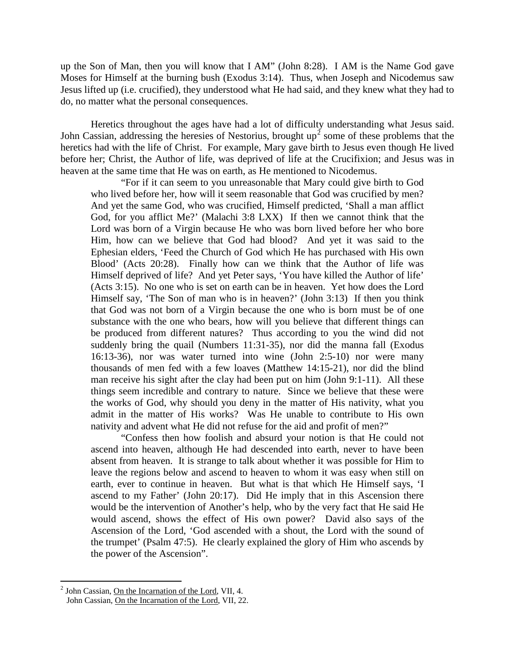up the Son of Man, then you will know that I AM" (John 8:28). I AM is the Name God gave Moses for Himself at the burning bush (Exodus 3:14). Thus, when Joseph and Nicodemus saw Jesus lifted up (i.e. crucified), they understood what He had said, and they knew what they had to do, no matter what the personal consequences.

Heretics throughout the ages have had a lot of difficulty understanding what Jesus said. John Cassian, addressing the heresies of Nestorius, brought  $up^2$  $up^2$  some of these problems that the heretics had with the life of Christ. For example, Mary gave birth to Jesus even though He lived before her; Christ, the Author of life, was deprived of life at the Crucifixion; and Jesus was in heaven at the same time that He was on earth, as He mentioned to Nicodemus.

"For if it can seem to you unreasonable that Mary could give birth to God who lived before her, how will it seem reasonable that God was crucified by men? And yet the same God, who was crucified, Himself predicted, 'Shall a man afflict God, for you afflict Me?' (Malachi 3:8 LXX) If then we cannot think that the Lord was born of a Virgin because He who was born lived before her who bore Him, how can we believe that God had blood? And yet it was said to the Ephesian elders, 'Feed the Church of God which He has purchased with His own Blood' (Acts 20:28). Finally how can we think that the Author of life was Himself deprived of life? And yet Peter says, 'You have killed the Author of life' (Acts 3:15). No one who is set on earth can be in heaven. Yet how does the Lord Himself say, 'The Son of man who is in heaven?' (John 3:13) If then you think that God was not born of a Virgin because the one who is born must be of one substance with the one who bears, how will you believe that different things can be produced from different natures? Thus according to you the wind did not suddenly bring the quail (Numbers 11:31-35), nor did the manna fall (Exodus 16:13-36), nor was water turned into wine (John 2:5-10) nor were many thousands of men fed with a few loaves (Matthew 14:15-21), nor did the blind man receive his sight after the clay had been put on him (John 9:1-11). All these things seem incredible and contrary to nature. Since we believe that these were the works of God, why should you deny in the matter of His nativity, what you admit in the matter of His works? Was He unable to contribute to His own nativity and advent what He did not refuse for the aid and profit of men?"

"Confess then how foolish and absurd your notion is that He could not ascend into heaven, although He had descended into earth, never to have been absent from heaven. It is strange to talk about whether it was possible for Him to leave the regions below and ascend to heaven to whom it was easy when still on earth, ever to continue in heaven. But what is that which He Himself says, 'I ascend to my Father' (John 20:17). Did He imply that in this Ascension there would be the intervention of Another's help, who by the very fact that He said He would ascend, shows the effect of His own power? David also says of the Ascension of the Lord, 'God ascended with a shout, the Lord with the sound of the trumpet' (Psalm 47:5). He clearly explained the glory of Him who ascends by the power of the Ascension".

<span id="page-2-0"></span> <sup>2</sup> John Cassian, On the Incarnation of the Lord, VII, 4.

John Cassian, On the Incarnation of the Lord, VII, 22.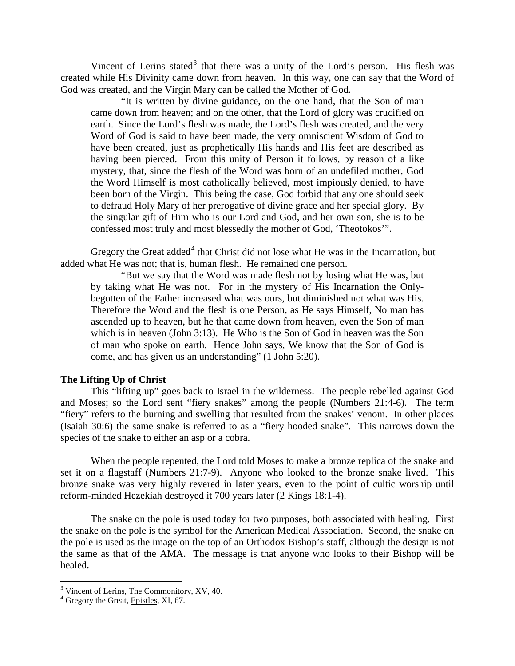Vincent of Lerins stated<sup>[3](#page-3-1)</sup> that there was a unity of the Lord's person. His flesh was created while His Divinity came down from heaven. In this way, one can say that the Word of God was created, and the Virgin Mary can be called the Mother of God.

"It is written by divine guidance, on the one hand, that the Son of man came down from heaven; and on the other, that the Lord of glory was crucified on earth. Since the Lord's flesh was made, the Lord's flesh was created, and the very Word of God is said to have been made, the very omniscient Wisdom of God to have been created, just as prophetically His hands and His feet are described as having been pierced. From this unity of Person it follows, by reason of a like mystery, that, since the flesh of the Word was born of an undefiled mother, God the Word Himself is most catholically believed, most impiously denied, to have been born of the Virgin. This being the case, God forbid that any one should seek to defraud Holy Mary of her prerogative of divine grace and her special glory. By the singular gift of Him who is our Lord and God, and her own son, she is to be confessed most truly and most blessedly the mother of God, 'Theotokos'".

Gregory the Great added<sup>[4](#page-3-2)</sup> that Christ did not lose what He was in the Incarnation, but added what He was not; that is, human flesh. He remained one person.

"But we say that the Word was made flesh not by losing what He was, but by taking what He was not. For in the mystery of His Incarnation the Onlybegotten of the Father increased what was ours, but diminished not what was His. Therefore the Word and the flesh is one Person, as He says Himself, No man has ascended up to heaven, but he that came down from heaven, even the Son of man which is in heaven (John 3:13). He Who is the Son of God in heaven was the Son of man who spoke on earth. Hence John says, We know that the Son of God is come, and has given us an understanding" (1 John 5:20).

# <span id="page-3-0"></span>**The Lifting Up of Christ**

This "lifting up" goes back to Israel in the wilderness. The people rebelled against God and Moses; so the Lord sent "fiery snakes" among the people (Numbers 21:4-6). The term "fiery" refers to the burning and swelling that resulted from the snakes' venom. In other places (Isaiah 30:6) the same snake is referred to as a "fiery hooded snake". This narrows down the species of the snake to either an asp or a cobra.

When the people repented, the Lord told Moses to make a bronze replica of the snake and set it on a flagstaff (Numbers 21:7-9). Anyone who looked to the bronze snake lived. This bronze snake was very highly revered in later years, even to the point of cultic worship until reform-minded Hezekiah destroyed it 700 years later (2 Kings 18:1-4).

The snake on the pole is used today for two purposes, both associated with healing. First the snake on the pole is the symbol for the American Medical Association. Second, the snake on the pole is used as the image on the top of an Orthodox Bishop's staff, although the design is not the same as that of the AMA. The message is that anyone who looks to their Bishop will be healed.

<span id="page-3-1"></span> $3$  Vincent of Lerins, The Commonitory, XV, 40.  $4$  Gregory the Great, Epistles, XI, 67.

<span id="page-3-2"></span>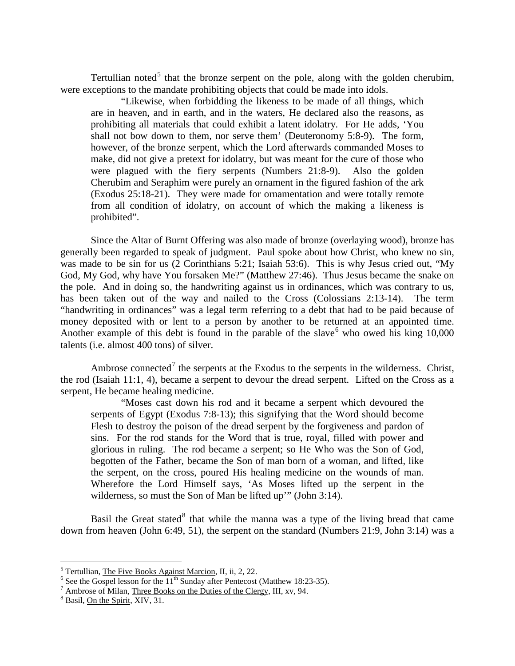Tertullian noted<sup>[5](#page-4-0)</sup> that the bronze serpent on the pole, along with the golden cherubim, were exceptions to the mandate prohibiting objects that could be made into idols.

"Likewise, when forbidding the likeness to be made of all things, which are in heaven, and in earth, and in the waters, He declared also the reasons, as prohibiting all materials that could exhibit a latent idolatry. For He adds, 'You shall not bow down to them, nor serve them' (Deuteronomy 5:8-9). The form, however, of the bronze serpent, which the Lord afterwards commanded Moses to make, did not give a pretext for idolatry, but was meant for the cure of those who were plagued with the fiery serpents (Numbers 21:8-9). Also the golden Cherubim and Seraphim were purely an ornament in the figured fashion of the ark (Exodus 25:18-21). They were made for ornamentation and were totally remote from all condition of idolatry, on account of which the making a likeness is prohibited".

Since the Altar of Burnt Offering was also made of bronze (overlaying wood), bronze has generally been regarded to speak of judgment. Paul spoke about how Christ, who knew no sin, was made to be sin for us (2 Corinthians 5:21; Isaiah 53:6). This is why Jesus cried out, "My God, My God, why have You forsaken Me?" (Matthew 27:46). Thus Jesus became the snake on the pole. And in doing so, the handwriting against us in ordinances, which was contrary to us, has been taken out of the way and nailed to the Cross (Colossians 2:13-14). The term "handwriting in ordinances" was a legal term referring to a debt that had to be paid because of money deposited with or lent to a person by another to be returned at an appointed time. Another example of this debt is found in the parable of the slave who owed his king 10,000 talents (i.e. almost 400 tons) of silver.

Ambrose connected<sup>[7](#page-4-2)</sup> the serpents at the Exodus to the serpents in the wilderness. Christ, the rod (Isaiah 11:1, 4), became a serpent to devour the dread serpent. Lifted on the Cross as a serpent, He became healing medicine.

"Moses cast down his rod and it became a serpent which devoured the serpents of Egypt (Exodus 7:8-13); this signifying that the Word should become Flesh to destroy the poison of the dread serpent by the forgiveness and pardon of sins. For the rod stands for the Word that is true, royal, filled with power and glorious in ruling. The rod became a serpent; so He Who was the Son of God, begotten of the Father, became the Son of man born of a woman, and lifted, like the serpent, on the cross, poured His healing medicine on the wounds of man. Wherefore the Lord Himself says, 'As Moses lifted up the serpent in the wilderness, so must the Son of Man be lifted up'" (John 3:14).

Basil the Great stated  $\delta$  that while the manna was a type of the living bread that came down from heaven (John 6:49, 51), the serpent on the standard (Numbers 21:9, John 3:14) was a

<span id="page-4-1"></span><span id="page-4-0"></span><sup>&</sup>lt;sup>5</sup> Tertullian, <u>The Five Books Against Marcion</u>, II, ii, 2, 22.<br>
<sup>6</sup> See the Gospel lesson for the 11<sup>th</sup> Sunday after Pentecost (Matthew 18:23-35).<br>
<sup>7</sup> Ambrose of Milan, <u>Three Books on the Duties of the Clergy</u>, III,

<span id="page-4-2"></span>

<span id="page-4-3"></span>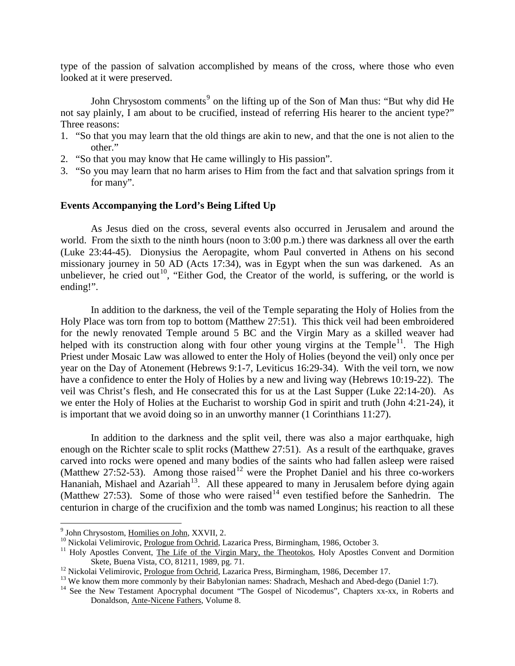type of the passion of salvation accomplished by means of the cross, where those who even looked at it were preserved.

John Chrysostom comments<sup>[9](#page-5-1)</sup> on the lifting up of the Son of Man thus: "But why did He not say plainly, I am about to be crucified, instead of referring His hearer to the ancient type?" Three reasons:

- 1. "So that you may learn that the old things are akin to new, and that the one is not alien to the other."
- 2. "So that you may know that He came willingly to His passion".
- 3. "So you may learn that no harm arises to Him from the fact and that salvation springs from it for many".

#### <span id="page-5-0"></span>**Events Accompanying the Lord's Being Lifted Up**

As Jesus died on the cross, several events also occurred in Jerusalem and around the world. From the sixth to the ninth hours (noon to 3:00 p.m.) there was darkness all over the earth (Luke 23:44-45). Dionysius the Aeropagite, whom Paul converted in Athens on his second missionary journey in 50 AD (Acts 17:34), was in Egypt when the sun was darkened. As an unbeliever, he cried out<sup>10</sup>, "Either God, the Creator of the world, is suffering, or the world is ending!".

In addition to the darkness, the veil of the Temple separating the Holy of Holies from the Holy Place was torn from top to bottom (Matthew 27:51). This thick veil had been embroidered for the newly renovated Temple around 5 BC and the Virgin Mary as a skilled weaver had helped with its construction along with four other young virgins at the Temple<sup>11</sup>. The High Priest under Mosaic Law was allowed to enter the Holy of Holies (beyond the veil) only once per year on the Day of Atonement (Hebrews 9:1-7, Leviticus 16:29-34). With the veil torn, we now have a confidence to enter the Holy of Holies by a new and living way (Hebrews 10:19-22). The veil was Christ's flesh, and He consecrated this for us at the Last Supper (Luke 22:14-20). As we enter the Holy of Holies at the Eucharist to worship God in spirit and truth (John 4:21-24), it is important that we avoid doing so in an unworthy manner (1 Corinthians 11:27).

In addition to the darkness and the split veil, there was also a major earthquake, high enough on the Richter scale to split rocks (Matthew 27:51). As a result of the earthquake, graves carved into rocks were opened and many bodies of the saints who had fallen asleep were raised (Matthew 27:52-53). Among those raised<sup>[12](#page-5-4)</sup> were the Prophet Daniel and his three co-workers Hananiah, Mishael and Azariah<sup>13</sup>. All these appeared to many in Jerusalem before dying again (Matthew 27:53). Some of those who were raised<sup>[14](#page-5-6)</sup> even testified before the Sanhedrin. The centurion in charge of the crucifixion and the tomb was named Longinus; his reaction to all these

<span id="page-5-3"></span>

<span id="page-5-2"></span><span id="page-5-1"></span><sup>&</sup>lt;sup>9</sup> John Chrysostom, <u>Homilies on John</u>, XXVII, 2.<br><sup>10</sup> Nickolai Velimirovic, <u>Prologue from Ochrid</u>, Lazarica Press, Birmingham, 1986, October 3.<br><sup>11</sup> Holy Apostles Convent, <u>The Life of the Virgin Mary, the Theotokos</u>, H

<span id="page-5-5"></span>

<span id="page-5-4"></span><sup>&</sup>lt;sup>12</sup> Nickolai Velimirovic, <u>Prologue from Ochrid</u>, Lazarica Press, Birmingham, 1986, December 17.<br><sup>13</sup> We know them more commonly by their Babylonian names: Shadrach, Meshach and Abed-dego (Daniel 1:7).<br><sup>14</sup> See the New T

<span id="page-5-6"></span>Donaldson, Ante-Nicene Fathers, Volume 8.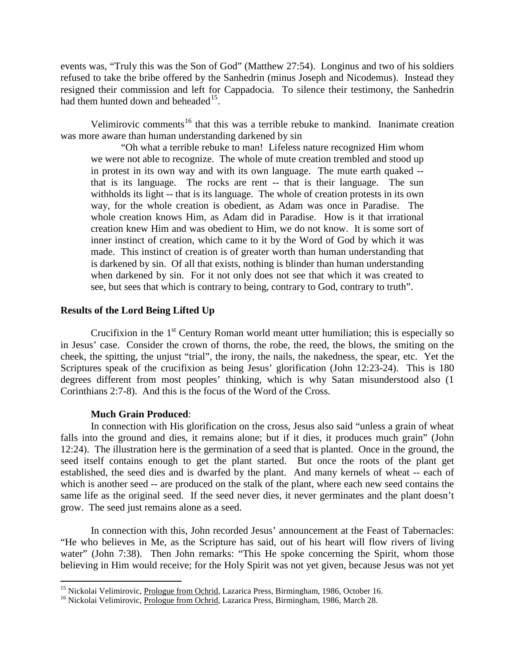events was, "Truly this was the Son of God" (Matthew 27:54). Longinus and two of his soldiers refused to take the bribe offered by the Sanhedrin (minus Joseph and Nicodemus). Instead they resigned their commission and left for Cappadocia. To silence their testimony, the Sanhedrin had them hunted down and beheaded<sup>15</sup>.

Velimirovic comments<sup>[16](#page-6-2)</sup> that this was a terrible rebuke to mankind. Inanimate creation was more aware than human understanding darkened by sin

"Oh what a terrible rebuke to man! Lifeless nature recognized Him whom we were not able to recognize. The whole of mute creation trembled and stood up in protest in its own way and with its own language. The mute earth quaked - that is its language. The rocks are rent -- that is their language. The sun withholds its light -- that is its language. The whole of creation protests in its own way, for the whole creation is obedient, as Adam was once in Paradise. The whole creation knows Him, as Adam did in Paradise. How is it that irrational creation knew Him and was obedient to Him, we do not know. It is some sort of inner instinct of creation, which came to it by the Word of God by which it was made. This instinct of creation is of greater worth than human understanding that is darkened by sin. Of all that exists, nothing is blinder than human understanding when darkened by sin. For it not only does not see that which it was created to see, but sees that which is contrary to being, contrary to God, contrary to truth".

# <span id="page-6-0"></span>**Results of the Lord Being Lifted Up**

Crucifixion in the  $1<sup>st</sup>$  Century Roman world meant utter humiliation; this is especially so in Jesus' case. Consider the crown of thorns, the robe, the reed, the blows, the smiting on the cheek, the spitting, the unjust "trial", the irony, the nails, the nakedness, the spear, etc. Yet the Scriptures speak of the crucifixion as being Jesus' glorification (John 12:23-24). This is 180 degrees different from most peoples' thinking, which is why Satan misunderstood also (1 Corinthians 2:7-8). And this is the focus of the Word of the Cross.

# **Much Grain Produced**:

In connection with His glorification on the cross, Jesus also said "unless a grain of wheat falls into the ground and dies, it remains alone; but if it dies, it produces much grain" (John 12:24). The illustration here is the germination of a seed that is planted. Once in the ground, the seed itself contains enough to get the plant started. But once the roots of the plant get established, the seed dies and is dwarfed by the plant. And many kernels of wheat -- each of which is another seed -- are produced on the stalk of the plant, where each new seed contains the same life as the original seed. If the seed never dies, it never germinates and the plant doesn't grow. The seed just remains alone as a seed.

In connection with this, John recorded Jesus' announcement at the Feast of Tabernacles: "He who believes in Me, as the Scripture has said, out of his heart will flow rivers of living water" (John 7:38). Then John remarks: "This He spoke concerning the Spirit, whom those believing in Him would receive; for the Holy Spirit was not yet given, because Jesus was not yet

<span id="page-6-1"></span><sup>&</sup>lt;sup>15</sup> Nickolai Velimirovic, <u>Prologue from Ochrid</u>, Lazarica Press, Birmingham, 1986, October 16.<br><sup>16</sup> Nickolai Velimirovic, Prologue from Ochrid, Lazarica Press, Birmingham, 1986, March 28.

<span id="page-6-2"></span>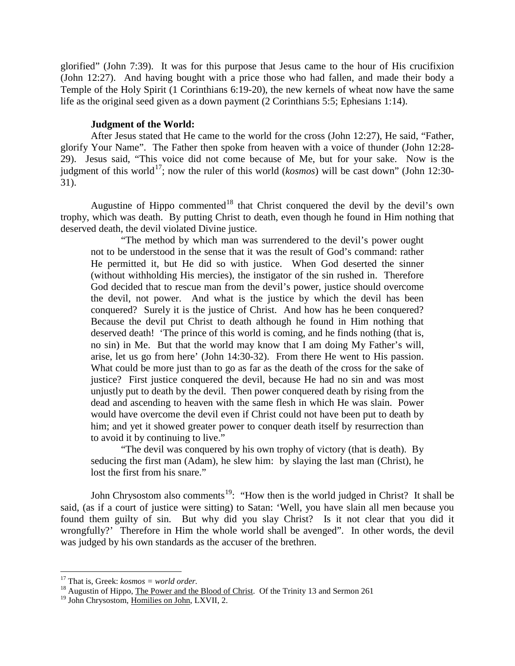glorified" (John 7:39). It was for this purpose that Jesus came to the hour of His crucifixion (John 12:27). And having bought with a price those who had fallen, and made their body a Temple of the Holy Spirit (1 Corinthians 6:19-20), the new kernels of wheat now have the same life as the original seed given as a down payment (2 Corinthians 5:5; Ephesians 1:14).

# **Judgment of the World:**

<span id="page-7-0"></span>After Jesus stated that He came to the world for the cross (John 12:27), He said, "Father, glorify Your Name". The Father then spoke from heaven with a voice of thunder (John 12:28- 29). Jesus said, "This voice did not come because of Me, but for your sake. Now is the judgment of this world<sup>17</sup>; now the ruler of this world ( $kosmos$ ) will be cast down" (John 12:30-31).

Augustine of Hippo commented<sup>[18](#page-7-2)</sup> that Christ conquered the devil by the devil's own trophy, which was death. By putting Christ to death, even though he found in Him nothing that deserved death, the devil violated Divine justice.

"The method by which man was surrendered to the devil's power ought not to be understood in the sense that it was the result of God's command: rather He permitted it, but He did so with justice. When God deserted the sinner (without withholding His mercies), the instigator of the sin rushed in. Therefore God decided that to rescue man from the devil's power, justice should overcome the devil, not power. And what is the justice by which the devil has been conquered? Surely it is the justice of Christ. And how has he been conquered? Because the devil put Christ to death although he found in Him nothing that deserved death! 'The prince of this world is coming, and he finds nothing (that is, no sin) in Me. But that the world may know that I am doing My Father's will, arise, let us go from here' (John 14:30-32). From there He went to His passion. What could be more just than to go as far as the death of the cross for the sake of justice? First justice conquered the devil, because He had no sin and was most unjustly put to death by the devil. Then power conquered death by rising from the dead and ascending to heaven with the same flesh in which He was slain. Power would have overcome the devil even if Christ could not have been put to death by him; and yet it showed greater power to conquer death itself by resurrection than to avoid it by continuing to live."

"The devil was conquered by his own trophy of victory (that is death). By seducing the first man (Adam), he slew him: by slaying the last man (Christ), he lost the first from his snare."

John Chrysostom also comments<sup>19</sup>: "How then is the world judged in Christ? It shall be said, (as if a court of justice were sitting) to Satan: 'Well, you have slain all men because you found them guilty of sin. But why did you slay Christ? Is it not clear that you did it wrongfully?' Therefore in Him the whole world shall be avenged". In other words, the devil was judged by his own standards as the accuser of the brethren.

<span id="page-7-1"></span><sup>&</sup>lt;sup>17</sup> That is, Greek: *kosmos = world order*.<br><sup>18</sup> Augustin of Hippo, The Power and the Blood of Christ. Of the Trinity 13 and Sermon 261

<span id="page-7-3"></span><span id="page-7-2"></span><sup>&</sup>lt;sup>19</sup> John Chrysostom, Homilies on John, LXVII, 2.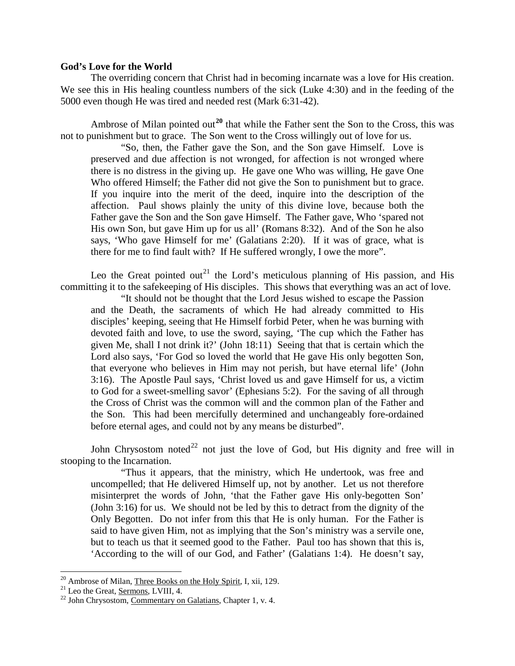#### <span id="page-8-0"></span>**God's Love for the World**

The overriding concern that Christ had in becoming incarnate was a love for His creation. We see this in His healing countless numbers of the sick (Luke 4:30) and in the feeding of the 5000 even though He was tired and needed rest (Mark 6:31-42).

Ambrose of Milan pointed out<sup>[20](#page-8-1)</sup> that while the Father sent the Son to the Cross, this was not to punishment but to grace. The Son went to the Cross willingly out of love for us.

"So, then, the Father gave the Son, and the Son gave Himself. Love is preserved and due affection is not wronged, for affection is not wronged where there is no distress in the giving up. He gave one Who was willing, He gave One Who offered Himself; the Father did not give the Son to punishment but to grace. If you inquire into the merit of the deed, inquire into the description of the affection. Paul shows plainly the unity of this divine love, because both the Father gave the Son and the Son gave Himself. The Father gave, Who 'spared not His own Son, but gave Him up for us all' (Romans 8:32). And of the Son he also says, 'Who gave Himself for me' (Galatians 2:20). If it was of grace, what is there for me to find fault with? If He suffered wrongly, I owe the more".

Leo the Great pointed out<sup>[21](#page-8-2)</sup> the Lord's meticulous planning of His passion, and His committing it to the safekeeping of His disciples. This shows that everything was an act of love.

"It should not be thought that the Lord Jesus wished to escape the Passion and the Death, the sacraments of which He had already committed to His disciples' keeping, seeing that He Himself forbid Peter, when he was burning with devoted faith and love, to use the sword, saying, 'The cup which the Father has given Me, shall I not drink it?' (John 18:11) Seeing that that is certain which the Lord also says, 'For God so loved the world that He gave His only begotten Son, that everyone who believes in Him may not perish, but have eternal life' (John 3:16). The Apostle Paul says, 'Christ loved us and gave Himself for us, a victim to God for a sweet-smelling savor' (Ephesians 5:2). For the saving of all through the Cross of Christ was the common will and the common plan of the Father and the Son. This had been mercifully determined and unchangeably fore-ordained before eternal ages, and could not by any means be disturbed".

John Chrysostom noted<sup>[22](#page-8-3)</sup> not just the love of God, but His dignity and free will in stooping to the Incarnation.

"Thus it appears, that the ministry, which He undertook, was free and uncompelled; that He delivered Himself up, not by another. Let us not therefore misinterpret the words of John, 'that the Father gave His only-begotten Son' (John 3:16) for us. We should not be led by this to detract from the dignity of the Only Begotten. Do not infer from this that He is only human. For the Father is said to have given Him, not as implying that the Son's ministry was a servile one, but to teach us that it seemed good to the Father. Paul too has shown that this is, 'According to the will of our God, and Father' (Galatians 1:4). He doesn't say,

<span id="page-8-2"></span><span id="page-8-1"></span><sup>&</sup>lt;sup>20</sup> Ambrose of Milan, <u>Three Books on the Holy Spirit</u>, I, xii, 129.<br><sup>21</sup> Leo the Great, <u>Sermons</u>, LVIII, 4.<br><sup>22</sup> John Chrysostom, <u>Commentary on Galatians</u>, Chapter 1, v. 4.

<span id="page-8-3"></span>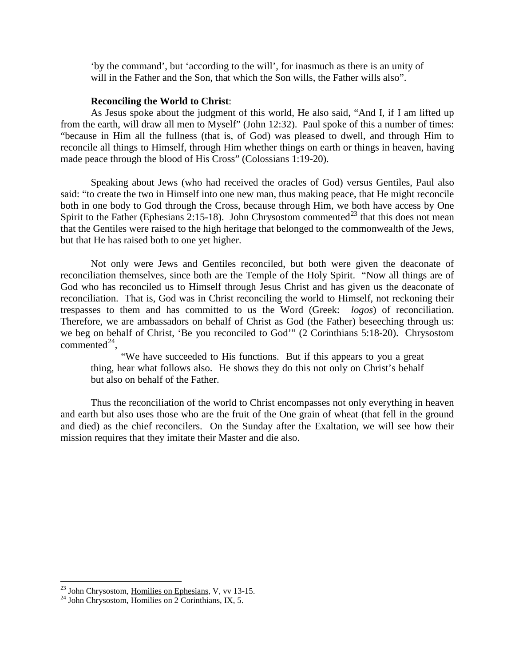'by the command', but 'according to the will', for inasmuch as there is an unity of will in the Father and the Son, that which the Son wills, the Father wills also".

#### **Reconciling the World to Christ**:

As Jesus spoke about the judgment of this world, He also said, "And I, if I am lifted up from the earth, will draw all men to Myself" (John 12:32). Paul spoke of this a number of times: "because in Him all the fullness (that is, of God) was pleased to dwell, and through Him to reconcile all things to Himself, through Him whether things on earth or things in heaven, having made peace through the blood of His Cross" (Colossians 1:19-20).

Speaking about Jews (who had received the oracles of God) versus Gentiles, Paul also said: "to create the two in Himself into one new man, thus making peace, that He might reconcile both in one body to God through the Cross, because through Him, we both have access by One Spirit to the Father (Ephesians 2:15-18). John Chrysostom commented<sup>[23](#page-9-0)</sup> that this does not mean that the Gentiles were raised to the high heritage that belonged to the commonwealth of the Jews, but that He has raised both to one yet higher.

Not only were Jews and Gentiles reconciled, but both were given the deaconate of reconciliation themselves, since both are the Temple of the Holy Spirit. "Now all things are of God who has reconciled us to Himself through Jesus Christ and has given us the deaconate of reconciliation. That is, God was in Christ reconciling the world to Himself, not reckoning their trespasses to them and has committed to us the Word (Greek: *logos*) of reconciliation. Therefore, we are ambassadors on behalf of Christ as God (the Father) beseeching through us: we beg on behalf of Christ, 'Be you reconciled to God'" (2 Corinthians 5:18-20). Chrysostom commented $^{24}$ ,

"We have succeeded to His functions. But if this appears to you a great thing, hear what follows also. He shows they do this not only on Christ's behalf but also on behalf of the Father.

Thus the reconciliation of the world to Christ encompasses not only everything in heaven and earth but also uses those who are the fruit of the One grain of wheat (that fell in the ground and died) as the chief reconcilers. On the Sunday after the Exaltation, we will see how their mission requires that they imitate their Master and die also.

<span id="page-9-0"></span><sup>&</sup>lt;sup>23</sup> John Chrysostom, <u>Homilies on Ephesians</u>, V, vv 13-15.<br><sup>24</sup> John Chrysostom, Homilies on 2 Corinthians, IX, 5.

<span id="page-9-1"></span>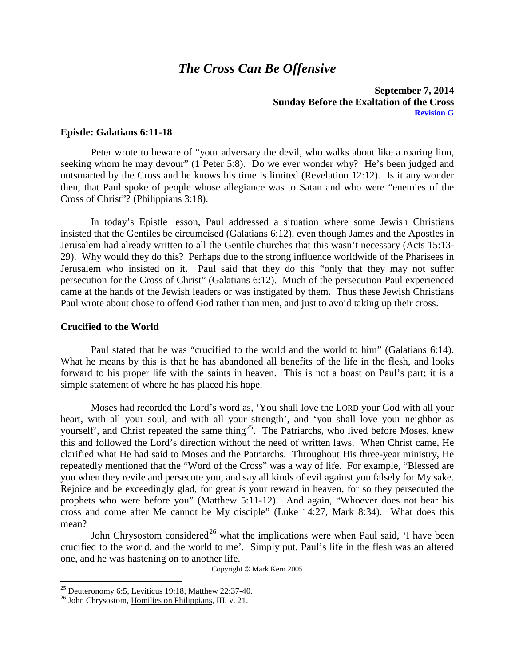# *The Cross Can Be Offensive*

#### **September 7, 2014 Sunday Before the Exaltation of the Cross Revision G**

#### <span id="page-10-0"></span>**Epistle: Galatians 6:11-18**

Peter wrote to beware of "your adversary the devil, who walks about like a roaring lion, seeking whom he may devour" (1 Peter 5:8). Do we ever wonder why? He's been judged and outsmarted by the Cross and he knows his time is limited (Revelation 12:12). Is it any wonder then, that Paul spoke of people whose allegiance was to Satan and who were "enemies of the Cross of Christ"? (Philippians 3:18).

In today's Epistle lesson, Paul addressed a situation where some Jewish Christians insisted that the Gentiles be circumcised (Galatians 6:12), even though James and the Apostles in Jerusalem had already written to all the Gentile churches that this wasn't necessary (Acts 15:13- 29). Why would they do this? Perhaps due to the strong influence worldwide of the Pharisees in Jerusalem who insisted on it. Paul said that they do this "only that they may not suffer persecution for the Cross of Christ" (Galatians 6:12). Much of the persecution Paul experienced came at the hands of the Jewish leaders or was instigated by them. Thus these Jewish Christians Paul wrote about chose to offend God rather than men, and just to avoid taking up their cross.

#### <span id="page-10-1"></span>**Crucified to the World**

Paul stated that he was "crucified to the world and the world to him" (Galatians 6:14). What he means by this is that he has abandoned all benefits of the life in the flesh, and looks forward to his proper life with the saints in heaven. This is not a boast on Paul's part; it is a simple statement of where he has placed his hope.

Moses had recorded the Lord's word as, 'You shall love the LORD your God with all your heart, with all your soul, and with all your strength', and 'you shall love your neighbor as yourself', and Christ repeated the same thing<sup>[25](#page-10-2)</sup>. The Patriarchs, who lived before Moses, knew this and followed the Lord's direction without the need of written laws. When Christ came, He clarified what He had said to Moses and the Patriarchs. Throughout His three-year ministry, He repeatedly mentioned that the "Word of the Cross" was a way of life. For example, "Blessed are you when they revile and persecute you, and say all kinds of evil against you falsely for My sake. Rejoice and be exceedingly glad, for great *is* your reward in heaven, for so they persecuted the prophets who were before you" (Matthew 5:11-12). And again, "Whoever does not bear his cross and come after Me cannot be My disciple" (Luke 14:27, Mark 8:34). What does this mean?

John Chrysostom considered<sup>[26](#page-10-3)</sup> what the implications were when Paul said, 'I have been crucified to the world, and the world to me'. Simply put, Paul's life in the flesh was an altered one, and he was hastening on to another life.

Copyright  $\odot$  Mark Kern 2005

<span id="page-10-2"></span><sup>&</sup>lt;sup>25</sup> Deuteronomy 6:5, Leviticus 19:18, Matthew 22:37-40.<br><sup>26</sup> John Chrysostom, <u>Homilies on Philippians</u>, III, v. 21.

<span id="page-10-3"></span>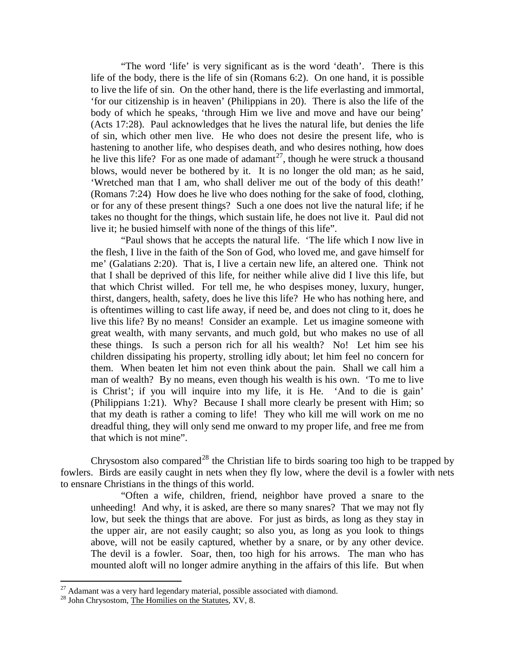"The word 'life' is very significant as is the word 'death'. There is this life of the body, there is the life of sin (Romans 6:2). On one hand, it is possible to live the life of sin. On the other hand, there is the life everlasting and immortal, 'for our citizenship is in heaven' (Philippians in 20). There is also the life of the body of which he speaks, 'through Him we live and move and have our being' (Acts 17:28). Paul acknowledges that he lives the natural life, but denies the life of sin, which other men live. He who does not desire the present life, who is hastening to another life, who despises death, and who desires nothing, how does he live this life? For as one made of adamant<sup>[27](#page-11-0)</sup>, though he were struck a thousand blows, would never be bothered by it. It is no longer the old man; as he said, 'Wretched man that I am, who shall deliver me out of the body of this death!' (Romans 7:24) How does he live who does nothing for the sake of food, clothing, or for any of these present things? Such a one does not live the natural life; if he takes no thought for the things, which sustain life, he does not live it. Paul did not live it; he busied himself with none of the things of this life".

"Paul shows that he accepts the natural life. 'The life which I now live in the flesh, I live in the faith of the Son of God, who loved me, and gave himself for me' (Galatians 2:20). That is, I live a certain new life, an altered one. Think not that I shall be deprived of this life, for neither while alive did I live this life, but that which Christ willed. For tell me, he who despises money, luxury, hunger, thirst, dangers, health, safety, does he live this life? He who has nothing here, and is oftentimes willing to cast life away, if need be, and does not cling to it, does he live this life? By no means! Consider an example. Let us imagine someone with great wealth, with many servants, and much gold, but who makes no use of all these things. Is such a person rich for all his wealth? No! Let him see his children dissipating his property, strolling idly about; let him feel no concern for them. When beaten let him not even think about the pain. Shall we call him a man of wealth? By no means, even though his wealth is his own. 'To me to live is Christ'; if you will inquire into my life, it is He. 'And to die is gain' (Philippians 1:21). Why? Because I shall more clearly be present with Him; so that my death is rather a coming to life! They who kill me will work on me no dreadful thing, they will only send me onward to my proper life, and free me from that which is not mine".

Chrysostom also compared<sup>[28](#page-11-1)</sup> the Christian life to birds soaring too high to be trapped by fowlers. Birds are easily caught in nets when they fly low, where the devil is a fowler with nets to ensnare Christians in the things of this world.

"Often a wife, children, friend, neighbor have proved a snare to the unheeding! And why, it is asked, are there so many snares? That we may not fly low, but seek the things that are above. For just as birds, as long as they stay in the upper air, are not easily caught; so also you, as long as you look to things above, will not be easily captured, whether by a snare, or by any other device. The devil is a fowler. Soar, then, too high for his arrows. The man who has mounted aloft will no longer admire anything in the affairs of this life. But when

<span id="page-11-0"></span><sup>&</sup>lt;sup>27</sup> Adamant was a very hard legendary material, possible associated with diamond.<br><sup>28</sup> John Chrysostom, <u>The Homilies on the Statutes</u>, XV, 8.

<span id="page-11-1"></span>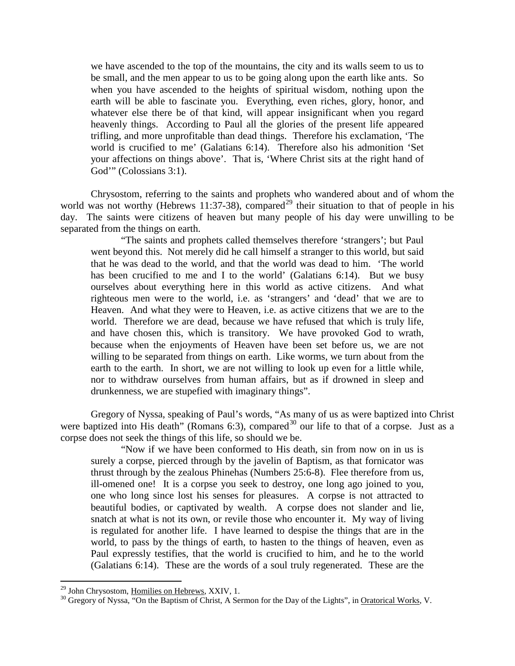we have ascended to the top of the mountains, the city and its walls seem to us to be small, and the men appear to us to be going along upon the earth like ants. So when you have ascended to the heights of spiritual wisdom, nothing upon the earth will be able to fascinate you. Everything, even riches, glory, honor, and whatever else there be of that kind, will appear insignificant when you regard heavenly things. According to Paul all the glories of the present life appeared trifling, and more unprofitable than dead things. Therefore his exclamation, 'The world is crucified to me' (Galatians 6:14). Therefore also his admonition 'Set your affections on things above'. That is, 'Where Christ sits at the right hand of God'" (Colossians 3:1).

Chrysostom, referring to the saints and prophets who wandered about and of whom the world was not worthy (Hebrews 11:37-38), compared<sup>[29](#page-12-0)</sup> their situation to that of people in his day. The saints were citizens of heaven but many people of his day were unwilling to be separated from the things on earth.

"The saints and prophets called themselves therefore 'strangers'; but Paul went beyond this. Not merely did he call himself a stranger to this world, but said that he was dead to the world, and that the world was dead to him. 'The world has been crucified to me and I to the world' (Galatians 6:14). But we busy ourselves about everything here in this world as active citizens. And what righteous men were to the world, i.e. as 'strangers' and 'dead' that we are to Heaven. And what they were to Heaven, i.e. as active citizens that we are to the world. Therefore we are dead, because we have refused that which is truly life, and have chosen this, which is transitory. We have provoked God to wrath, because when the enjoyments of Heaven have been set before us, we are not willing to be separated from things on earth. Like worms, we turn about from the earth to the earth. In short, we are not willing to look up even for a little while, nor to withdraw ourselves from human affairs, but as if drowned in sleep and drunkenness, we are stupefied with imaginary things".

Gregory of Nyssa, speaking of Paul's words, "As many of us as were baptized into Christ were baptized into His death" (Romans 6:3), compared<sup>[30](#page-12-1)</sup> our life to that of a corpse. Just as a corpse does not seek the things of this life, so should we be.

"Now if we have been conformed to His death, sin from now on in us is surely a corpse, pierced through by the javelin of Baptism, as that fornicator was thrust through by the zealous Phinehas (Numbers 25:6-8). Flee therefore from us, ill-omened one! It is a corpse you seek to destroy, one long ago joined to you, one who long since lost his senses for pleasures. A corpse is not attracted to beautiful bodies, or captivated by wealth. A corpse does not slander and lie, snatch at what is not its own, or revile those who encounter it. My way of living is regulated for another life. I have learned to despise the things that are in the world, to pass by the things of earth, to hasten to the things of heaven, even as Paul expressly testifies, that the world is crucified to him, and he to the world (Galatians 6:14). These are the words of a soul truly regenerated. These are the

<span id="page-12-1"></span><span id="page-12-0"></span><sup>&</sup>lt;sup>29</sup> John Chrysostom, <u>Homilies on Hebrews</u>, XXIV, 1.<br><sup>30</sup> Gregory of Nyssa, "On the Baptism of Christ, A Sermon for the Day of the Lights", in <u>Oratorical Works</u>, V.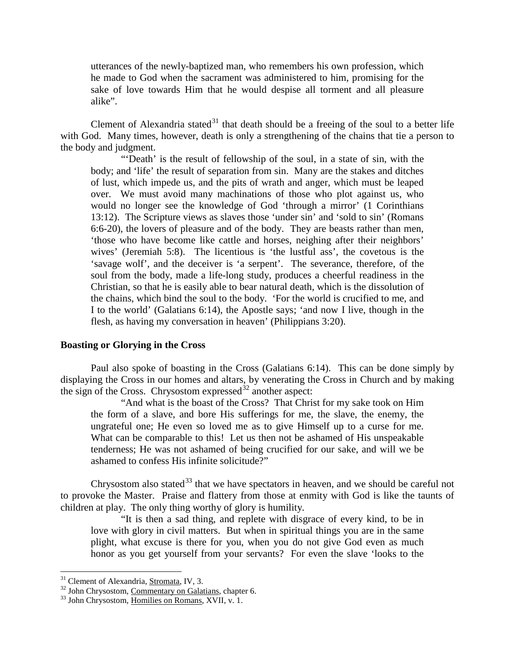utterances of the newly-baptized man, who remembers his own profession, which he made to God when the sacrament was administered to him, promising for the sake of love towards Him that he would despise all torment and all pleasure alike".

Clement of Alexandria stated<sup>[31](#page-13-1)</sup> that death should be a freeing of the soul to a better life with God. Many times, however, death is only a strengthening of the chains that tie a person to the body and judgment.

"'Death' is the result of fellowship of the soul, in a state of sin, with the body; and 'life' the result of separation from sin. Many are the stakes and ditches of lust, which impede us, and the pits of wrath and anger, which must be leaped over. We must avoid many machinations of those who plot against us, who would no longer see the knowledge of God 'through a mirror' (1 Corinthians 13:12). The Scripture views as slaves those 'under sin' and 'sold to sin' (Romans 6:6-20), the lovers of pleasure and of the body. They are beasts rather than men, 'those who have become like cattle and horses, neighing after their neighbors' wives' (Jeremiah 5:8). The licentious is 'the lustful ass', the covetous is the 'savage wolf', and the deceiver is 'a serpent'. The severance, therefore, of the soul from the body, made a life-long study, produces a cheerful readiness in the Christian, so that he is easily able to bear natural death, which is the dissolution of the chains, which bind the soul to the body. 'For the world is crucified to me, and I to the world' (Galatians 6:14), the Apostle says; 'and now I live, though in the flesh, as having my conversation in heaven' (Philippians 3:20).

# <span id="page-13-0"></span>**Boasting or Glorying in the Cross**

Paul also spoke of boasting in the Cross (Galatians 6:14). This can be done simply by displaying the Cross in our homes and altars, by venerating the Cross in Church and by making the sign of the Cross. Chrysostom expressed $32$  another aspect:

"And what is the boast of the Cross? That Christ for my sake took on Him the form of a slave, and bore His sufferings for me, the slave, the enemy, the ungrateful one; He even so loved me as to give Himself up to a curse for me. What can be comparable to this! Let us then not be ashamed of His unspeakable tenderness; He was not ashamed of being crucified for our sake, and will we be ashamed to confess His infinite solicitude?"

Chrysostom also stated<sup>[33](#page-13-3)</sup> that we have spectators in heaven, and we should be careful not to provoke the Master. Praise and flattery from those at enmity with God is like the taunts of children at play. The only thing worthy of glory is humility.

"It is then a sad thing, and replete with disgrace of every kind, to be in love with glory in civil matters. But when in spiritual things you are in the same plight, what excuse is there for you, when you do not give God even as much honor as you get yourself from your servants? For even the slave 'looks to the

<span id="page-13-2"></span><span id="page-13-1"></span><sup>&</sup>lt;sup>31</sup> Clement of Alexandria, <u>Stromata</u>, IV, 3.<br><sup>32</sup> John Chrysostom, <u>Commentary on Galatians</u>, chapter 6.<br><sup>33</sup> John Chrysostom, Homilies on Romans, XVII, v. 1.

<span id="page-13-3"></span>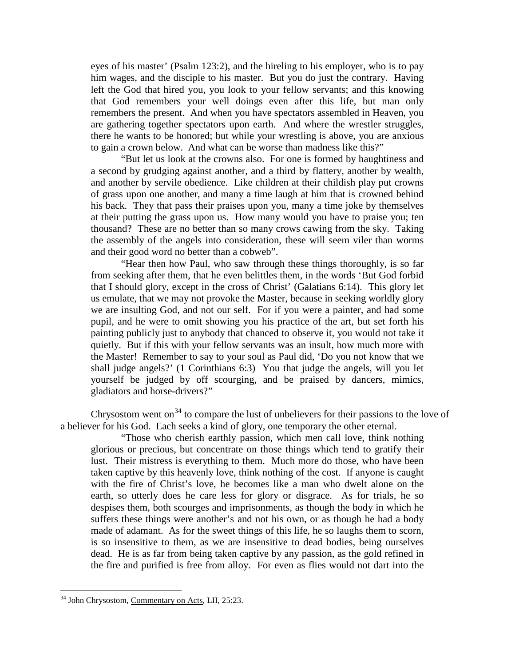eyes of his master' (Psalm 123:2), and the hireling to his employer, who is to pay him wages, and the disciple to his master. But you do just the contrary. Having left the God that hired you, you look to your fellow servants; and this knowing that God remembers your well doings even after this life, but man only remembers the present. And when you have spectators assembled in Heaven, you are gathering together spectators upon earth. And where the wrestler struggles, there he wants to be honored; but while your wrestling is above, you are anxious to gain a crown below. And what can be worse than madness like this?"

"But let us look at the crowns also. For one is formed by haughtiness and a second by grudging against another, and a third by flattery, another by wealth, and another by servile obedience. Like children at their childish play put crowns of grass upon one another, and many a time laugh at him that is crowned behind his back. They that pass their praises upon you, many a time joke by themselves at their putting the grass upon us. How many would you have to praise you; ten thousand? These are no better than so many crows cawing from the sky. Taking the assembly of the angels into consideration, these will seem viler than worms and their good word no better than a cobweb".

"Hear then how Paul, who saw through these things thoroughly, is so far from seeking after them, that he even belittles them, in the words 'But God forbid that I should glory, except in the cross of Christ' (Galatians 6:14). This glory let us emulate, that we may not provoke the Master, because in seeking worldly glory we are insulting God, and not our self. For if you were a painter, and had some pupil, and he were to omit showing you his practice of the art, but set forth his painting publicly just to anybody that chanced to observe it, you would not take it quietly. But if this with your fellow servants was an insult, how much more with the Master! Remember to say to your soul as Paul did, 'Do you not know that we shall judge angels?' (1 Corinthians 6:3) You that judge the angels, will you let yourself be judged by off scourging, and be praised by dancers, mimics, gladiators and horse-drivers?"

Chrysostom went on<sup>[34](#page-14-0)</sup> to compare the lust of unbelievers for their passions to the love of a believer for his God. Each seeks a kind of glory, one temporary the other eternal.

"Those who cherish earthly passion, which men call love, think nothing glorious or precious, but concentrate on those things which tend to gratify their lust. Their mistress is everything to them. Much more do those, who have been taken captive by this heavenly love, think nothing of the cost. If anyone is caught with the fire of Christ's love, he becomes like a man who dwelt alone on the earth, so utterly does he care less for glory or disgrace. As for trials, he so despises them, both scourges and imprisonments, as though the body in which he suffers these things were another's and not his own, or as though he had a body made of adamant. As for the sweet things of this life, he so laughs them to scorn, is so insensitive to them, as we are insensitive to dead bodies, being ourselves dead. He is as far from being taken captive by any passion, as the gold refined in the fire and purified is free from alloy. For even as flies would not dart into the

<span id="page-14-0"></span><sup>&</sup>lt;sup>34</sup> John Chrysostom, Commentary on Acts, LII, 25:23.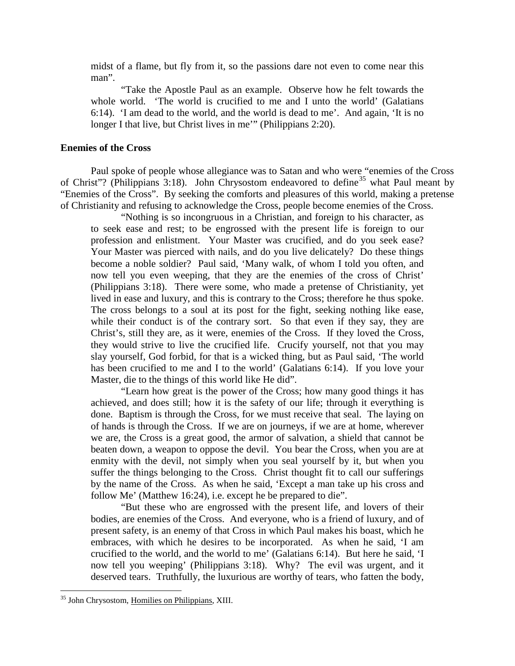midst of a flame, but fly from it, so the passions dare not even to come near this man".

"Take the Apostle Paul as an example. Observe how he felt towards the whole world. 'The world is crucified to me and I unto the world' (Galatians 6:14). 'I am dead to the world, and the world is dead to me'. And again, 'It is no longer I that live, but Christ lives in me'" (Philippians 2:20).

# <span id="page-15-0"></span>**Enemies of the Cross**

Paul spoke of people whose allegiance was to Satan and who were "enemies of the Cross of Christ"? (Philippians 3:18). John Chrysostom endeavored to define<sup>[35](#page-15-1)</sup> what Paul meant by "Enemies of the Cross". By seeking the comforts and pleasures of this world, making a pretense of Christianity and refusing to acknowledge the Cross, people become enemies of the Cross.

"Nothing is so incongruous in a Christian, and foreign to his character, as to seek ease and rest; to be engrossed with the present life is foreign to our profession and enlistment. Your Master was crucified, and do you seek ease? Your Master was pierced with nails, and do you live delicately? Do these things become a noble soldier? Paul said, 'Many walk, of whom I told you often, and now tell you even weeping, that they are the enemies of the cross of Christ' (Philippians 3:18). There were some, who made a pretense of Christianity, yet lived in ease and luxury, and this is contrary to the Cross; therefore he thus spoke. The cross belongs to a soul at its post for the fight, seeking nothing like ease, while their conduct is of the contrary sort. So that even if they say, they are Christ's, still they are, as it were, enemies of the Cross. If they loved the Cross, they would strive to live the crucified life. Crucify yourself, not that you may slay yourself, God forbid, for that is a wicked thing, but as Paul said, 'The world has been crucified to me and I to the world' (Galatians 6:14). If you love your Master, die to the things of this world like He did".

"Learn how great is the power of the Cross; how many good things it has achieved, and does still; how it is the safety of our life; through it everything is done. Baptism is through the Cross, for we must receive that seal. The laying on of hands is through the Cross. If we are on journeys, if we are at home, wherever we are, the Cross is a great good, the armor of salvation, a shield that cannot be beaten down, a weapon to oppose the devil. You bear the Cross, when you are at enmity with the devil, not simply when you seal yourself by it, but when you suffer the things belonging to the Cross. Christ thought fit to call our sufferings by the name of the Cross. As when he said, 'Except a man take up his cross and follow Me' (Matthew 16:24), i.e. except he be prepared to die".

"But these who are engrossed with the present life, and lovers of their bodies, are enemies of the Cross. And everyone, who is a friend of luxury, and of present safety, is an enemy of that Cross in which Paul makes his boast, which he embraces, with which he desires to be incorporated. As when he said, 'I am crucified to the world, and the world to me' (Galatians 6:14). But here he said, 'I now tell you weeping' (Philippians 3:18). Why? The evil was urgent, and it deserved tears. Truthfully, the luxurious are worthy of tears, who fatten the body,

<span id="page-15-1"></span> <sup>35</sup> John Chrysostom, Homilies on Philippians, XIII.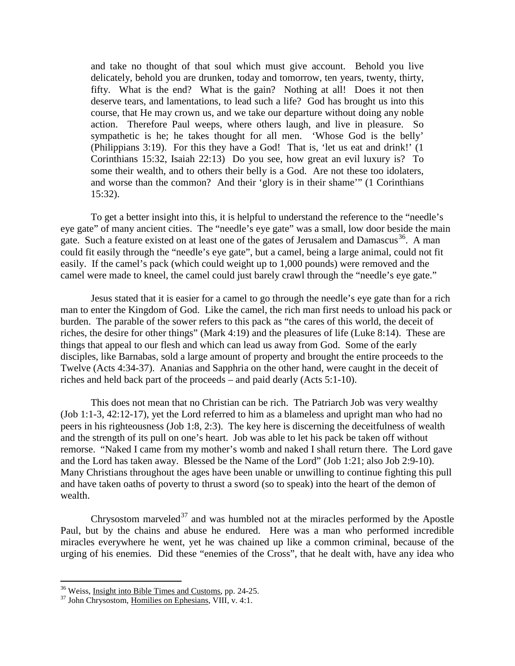and take no thought of that soul which must give account. Behold you live delicately, behold you are drunken, today and tomorrow, ten years, twenty, thirty, fifty. What is the end? What is the gain? Nothing at all! Does it not then deserve tears, and lamentations, to lead such a life? God has brought us into this course, that He may crown us, and we take our departure without doing any noble action. Therefore Paul weeps, where others laugh, and live in pleasure. So sympathetic is he; he takes thought for all men. 'Whose God is the belly' (Philippians 3:19). For this they have a God! That is, 'let us eat and drink!' (1 Corinthians 15:32, Isaiah 22:13) Do you see, how great an evil luxury is? To some their wealth, and to others their belly is a God. Are not these too idolaters, and worse than the common? And their 'glory is in their shame'" (1 Corinthians 15:32).

To get a better insight into this, it is helpful to understand the reference to the "needle's eye gate" of many ancient cities. The "needle's eye gate" was a small, low door beside the main gate. Such a feature existed on at least one of the gates of Jerusalem and Damascus<sup>[36](#page-16-0)</sup>. A man could fit easily through the "needle's eye gate", but a camel, being a large animal, could not fit easily. If the camel's pack (which could weight up to 1,000 pounds) were removed and the camel were made to kneel, the camel could just barely crawl through the "needle's eye gate."

Jesus stated that it is easier for a camel to go through the needle's eye gate than for a rich man to enter the Kingdom of God. Like the camel, the rich man first needs to unload his pack or burden. The parable of the sower refers to this pack as "the cares of this world, the deceit of riches, the desire for other things" (Mark 4:19) and the pleasures of life (Luke 8:14). These are things that appeal to our flesh and which can lead us away from God. Some of the early disciples, like Barnabas, sold a large amount of property and brought the entire proceeds to the Twelve (Acts 4:34-37). Ananias and Sapphria on the other hand, were caught in the deceit of riches and held back part of the proceeds – and paid dearly (Acts 5:1-10).

This does not mean that no Christian can be rich. The Patriarch Job was very wealthy (Job 1:1-3, 42:12-17), yet the Lord referred to him as a blameless and upright man who had no peers in his righteousness (Job 1:8, 2:3). The key here is discerning the deceitfulness of wealth and the strength of its pull on one's heart. Job was able to let his pack be taken off without remorse. "Naked I came from my mother's womb and naked I shall return there. The Lord gave and the Lord has taken away. Blessed be the Name of the Lord" (Job 1:21; also Job 2:9-10). Many Christians throughout the ages have been unable or unwilling to continue fighting this pull and have taken oaths of poverty to thrust a sword (so to speak) into the heart of the demon of wealth.

Chrysostom marveled<sup>[37](#page-16-1)</sup> and was humbled not at the miracles performed by the Apostle Paul, but by the chains and abuse he endured. Here was a man who performed incredible miracles everywhere he went, yet he was chained up like a common criminal, because of the urging of his enemies. Did these "enemies of the Cross", that he dealt with, have any idea who

<span id="page-16-0"></span> $36$  Weiss, <u>Insight into Bible Times and Customs</u>, pp. 24-25.<br> $37$  John Chrysostom, Homilies on Ephesians, VIII, v. 4:1.

<span id="page-16-1"></span>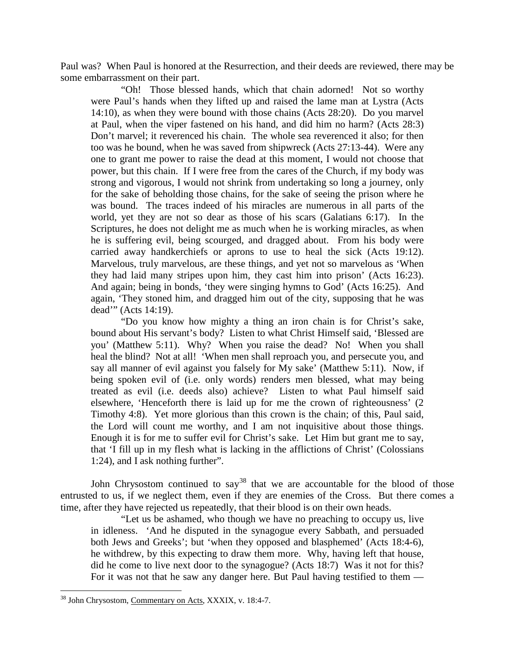Paul was? When Paul is honored at the Resurrection, and their deeds are reviewed, there may be some embarrassment on their part.

"Oh! Those blessed hands, which that chain adorned! Not so worthy were Paul's hands when they lifted up and raised the lame man at Lystra (Acts 14:10), as when they were bound with those chains (Acts 28:20). Do you marvel at Paul, when the viper fastened on his hand, and did him no harm? (Acts 28:3) Don't marvel; it reverenced his chain. The whole sea reverenced it also; for then too was he bound, when he was saved from shipwreck (Acts 27:13-44). Were any one to grant me power to raise the dead at this moment, I would not choose that power, but this chain. If I were free from the cares of the Church, if my body was strong and vigorous, I would not shrink from undertaking so long a journey, only for the sake of beholding those chains, for the sake of seeing the prison where he was bound. The traces indeed of his miracles are numerous in all parts of the world, yet they are not so dear as those of his scars (Galatians 6:17). In the Scriptures, he does not delight me as much when he is working miracles, as when he is suffering evil, being scourged, and dragged about. From his body were carried away handkerchiefs or aprons to use to heal the sick (Acts 19:12). Marvelous, truly marvelous, are these things, and yet not so marvelous as 'When they had laid many stripes upon him, they cast him into prison' (Acts 16:23). And again; being in bonds, 'they were singing hymns to God' (Acts 16:25). And again, 'They stoned him, and dragged him out of the city, supposing that he was dead'" (Acts 14:19).

"Do you know how mighty a thing an iron chain is for Christ's sake, bound about His servant's body? Listen to what Christ Himself said, 'Blessed are you' (Matthew 5:11). Why? When you raise the dead? No! When you shall heal the blind? Not at all! 'When men shall reproach you, and persecute you, and say all manner of evil against you falsely for My sake' (Matthew 5:11). Now, if being spoken evil of (i.e. only words) renders men blessed, what may being treated as evil (i.e. deeds also) achieve? Listen to what Paul himself said elsewhere, 'Henceforth there is laid up for me the crown of righteousness' (2 Timothy 4:8). Yet more glorious than this crown is the chain; of this, Paul said, the Lord will count me worthy, and I am not inquisitive about those things. Enough it is for me to suffer evil for Christ's sake. Let Him but grant me to say, that 'I fill up in my flesh what is lacking in the afflictions of Christ' (Colossians 1:24), and I ask nothing further".

John Chrysostom continued to say<sup>[38](#page-17-0)</sup> that we are accountable for the blood of those entrusted to us, if we neglect them, even if they are enemies of the Cross. But there comes a time, after they have rejected us repeatedly, that their blood is on their own heads.

"Let us be ashamed, who though we have no preaching to occupy us, live in idleness. 'And he disputed in the synagogue every Sabbath, and persuaded both Jews and Greeks'; but 'when they opposed and blasphemed' (Acts 18:4-6), he withdrew, by this expecting to draw them more. Why, having left that house, did he come to live next door to the synagogue? (Acts 18:7) Was it not for this? For it was not that he saw any danger here. But Paul having testified to them —

<span id="page-17-0"></span> <sup>38</sup> John Chrysostom, Commentary on Acts, XXXIX, v. 18:4-7.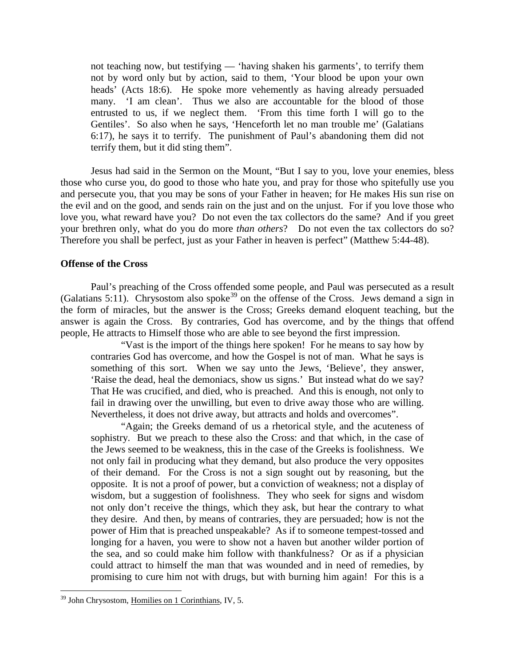not teaching now, but testifying — 'having shaken his garments', to terrify them not by word only but by action, said to them, 'Your blood be upon your own heads' (Acts 18:6). He spoke more vehemently as having already persuaded many. 'I am clean'. Thus we also are accountable for the blood of those entrusted to us, if we neglect them. 'From this time forth I will go to the Gentiles'. So also when he says, 'Henceforth let no man trouble me' (Galatians 6:17), he says it to terrify. The punishment of Paul's abandoning them did not terrify them, but it did sting them".

Jesus had said in the Sermon on the Mount, "But I say to you, love your enemies, bless those who curse you, do good to those who hate you, and pray for those who spitefully use you and persecute you, that you may be sons of your Father in heaven; for He makes His sun rise on the evil and on the good, and sends rain on the just and on the unjust. For if you love those who love you, what reward have you? Do not even the tax collectors do the same? And if you greet your brethren only, what do you do more *than others*? Do not even the tax collectors do so? Therefore you shall be perfect, just as your Father in heaven is perfect" (Matthew 5:44-48).

# <span id="page-18-0"></span>**Offense of the Cross**

Paul's preaching of the Cross offended some people, and Paul was persecuted as a result (Galatians 5:11). Chrysostom also spoke<sup>[39](#page-18-1)</sup> on the offense of the Cross. Jews demand a sign in the form of miracles, but the answer is the Cross; Greeks demand eloquent teaching, but the answer is again the Cross. By contraries, God has overcome, and by the things that offend people, He attracts to Himself those who are able to see beyond the first impression.

"Vast is the import of the things here spoken! For he means to say how by contraries God has overcome, and how the Gospel is not of man. What he says is something of this sort. When we say unto the Jews, 'Believe', they answer, 'Raise the dead, heal the demoniacs, show us signs.' But instead what do we say? That He was crucified, and died, who is preached. And this is enough, not only to fail in drawing over the unwilling, but even to drive away those who are willing. Nevertheless, it does not drive away, but attracts and holds and overcomes".

"Again; the Greeks demand of us a rhetorical style, and the acuteness of sophistry. But we preach to these also the Cross: and that which, in the case of the Jews seemed to be weakness, this in the case of the Greeks is foolishness. We not only fail in producing what they demand, but also produce the very opposites of their demand. For the Cross is not a sign sought out by reasoning, but the opposite. It is not a proof of power, but a conviction of weakness; not a display of wisdom, but a suggestion of foolishness. They who seek for signs and wisdom not only don't receive the things, which they ask, but hear the contrary to what they desire. And then, by means of contraries, they are persuaded; how is not the power of Him that is preached unspeakable? As if to someone tempest-tossed and longing for a haven, you were to show not a haven but another wilder portion of the sea, and so could make him follow with thankfulness? Or as if a physician could attract to himself the man that was wounded and in need of remedies, by promising to cure him not with drugs, but with burning him again! For this is a

<span id="page-18-1"></span> <sup>39</sup> John Chrysostom, Homilies on 1 Corinthians, IV, 5.